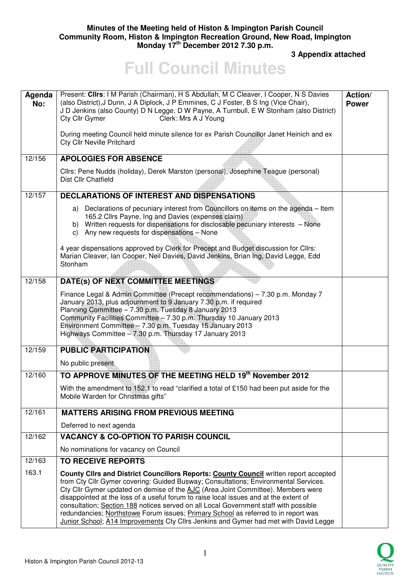## **Minutes of the Meeting held of Histon & Impington Parish Council Community Room, Histon & Impington Recreation Ground, New Road, Impington Monday 17th December 2012 7.30 p.m.**

 **3 Appendix attached** 

## **Full Council Minutes**

| Agenda<br>No: | Present: Clirs: I M Parish (Chairman), H S Abdullah, M C Cleaver, I Cooper, N S Davies<br>(also District), J Dunn, J A Diplock, J P Emmines, C J Foster, B S Ing (Vice Chair),<br>J D Jenkins (also County) D N Legge, D W Payne, A Turnbull, E W Stonham (also District)<br>Clerk: Mrs A J Young<br>Cty Cllr Gymer                                                                                                                                                                                                                                                                                                             | Action/<br><b>Power</b> |
|---------------|---------------------------------------------------------------------------------------------------------------------------------------------------------------------------------------------------------------------------------------------------------------------------------------------------------------------------------------------------------------------------------------------------------------------------------------------------------------------------------------------------------------------------------------------------------------------------------------------------------------------------------|-------------------------|
|               | During meeting Council held minute silence for ex Parish Councillor Janet Heinich and ex<br><b>Cty Cllr Neville Pritchard</b>                                                                                                                                                                                                                                                                                                                                                                                                                                                                                                   |                         |
| 12/156        | <b>APOLOGIES FOR ABSENCE</b>                                                                                                                                                                                                                                                                                                                                                                                                                                                                                                                                                                                                    |                         |
|               | Cllrs: Pene Nudds (holiday), Derek Marston (personal), Josephine Teague (personal)<br>Dist Cllr Chatfield                                                                                                                                                                                                                                                                                                                                                                                                                                                                                                                       |                         |
| 12/157        | <b>DECLARATIONS OF INTEREST AND DISPENSATIONS</b>                                                                                                                                                                                                                                                                                                                                                                                                                                                                                                                                                                               |                         |
|               | a) Declarations of pecuniary interest from Councillors on items on the agenda - Item<br>165.2 Cllrs Payne, Ing and Davies (expenses claim)<br>b) Written requests for dispensations for disclosable pecuniary interests - None<br>c) Any new requests for dispensations - None                                                                                                                                                                                                                                                                                                                                                  |                         |
|               | 4 year dispensations approved by Clerk for Precept and Budget discussion for Cllrs:<br>Marian Cleaver, Ian Cooper, Neil Davies, David Jenkins, Brian Ing, David Legge, Edd<br>Stonham                                                                                                                                                                                                                                                                                                                                                                                                                                           |                         |
| 12/158        | DATE(s) OF NEXT COMMITTEE MEETINGS                                                                                                                                                                                                                                                                                                                                                                                                                                                                                                                                                                                              |                         |
|               | Finance Legal & Admin Committee (Precept recommendations) - 7.30 p.m. Monday 7<br>January 2013, plus adjournment to 9 January 7.30 p.m. if required<br>Planning Committee - 7.30 p.m. Tuesday 8 January 2013<br>Community Facilities Committee - 7.30 p.m. Thursday 10 January 2013<br>Environment Committee - 7.30 p.m. Tuesday 15 January 2013<br>Highways Committee - 7.30 p.m. Thursday 17 January 2013                                                                                                                                                                                                                     |                         |
| 12/159        | <b>PUBLIC PARTICIPATION</b>                                                                                                                                                                                                                                                                                                                                                                                                                                                                                                                                                                                                     |                         |
|               | No public present                                                                                                                                                                                                                                                                                                                                                                                                                                                                                                                                                                                                               |                         |
| 12/160        | TO APPROVE MINUTES OF THE MEETING HELD 19th November 2012                                                                                                                                                                                                                                                                                                                                                                                                                                                                                                                                                                       |                         |
|               | With the amendment to 152.1 to read "clarified a total of £150 had been put aside for the<br>Mobile Warden for Christmas gifts"                                                                                                                                                                                                                                                                                                                                                                                                                                                                                                 |                         |
| 12/161        | <b>MATTERS ARISING FROM PREVIOUS MEETING</b>                                                                                                                                                                                                                                                                                                                                                                                                                                                                                                                                                                                    |                         |
|               | Deferred to next agenda                                                                                                                                                                                                                                                                                                                                                                                                                                                                                                                                                                                                         |                         |
| 12/162        | <b>VACANCY &amp; CO-OPTION TO PARISH COUNCIL</b>                                                                                                                                                                                                                                                                                                                                                                                                                                                                                                                                                                                |                         |
|               | No nominations for vacancy on Council                                                                                                                                                                                                                                                                                                                                                                                                                                                                                                                                                                                           |                         |
| 12/163        | <b>TO RECEIVE REPORTS</b>                                                                                                                                                                                                                                                                                                                                                                                                                                                                                                                                                                                                       |                         |
| 163.1         | County Clirs and District Councillors Reports: County Council written report accepted<br>from Cty Cllr Gymer covering: Guided Busway; Consultations; Environmental Services.<br>Cty Cllr Gymer updated on demise of the AJC (Area Joint Committee). Members were<br>disappointed at the loss of a useful forum to raise local issues and at the extent of<br>consultation; Section 188 notices served on all Local Government staff with possible<br>redundancies; Northstowe Forum issues; Primary School as referred to in report was<br>Junior School; A14 Improvements Cty Cllrs Jenkins and Gymer had met with David Legge |                         |

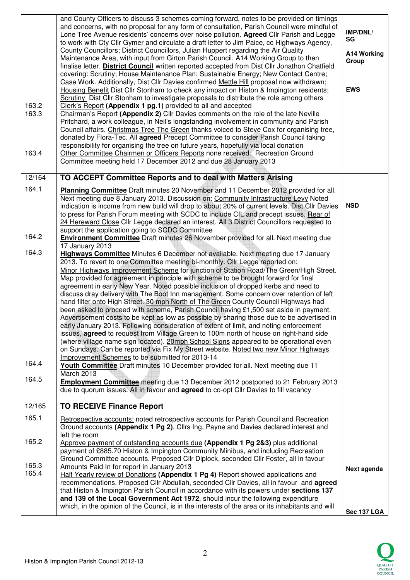|                | and County Officers to discuss 3 schemes coming forward, notes to be provided on timings<br>and concerns, with no proposal for any form of consultation, Parish Council were mindful of<br>Lone Tree Avenue residents' concerns over noise pollution. Agreed Cllr Parish and Legge<br>to work with Cty Cllr Gymer and circulate a draft letter to Jim Paice, cc Highways Agency,<br>County Councillors; District Councillors, Julian Huppert regarding the Air Quality<br>Maintenance Area, with input from Girton Parish Council. A14 Working Group to then<br>finalise letter. <b>District Council</b> written reported accepted from Dist Cllr Jonathon Chatfield<br>covering: Scrutiny; House Maintenance Plan; Sustainable Energy; New Contact Centre; | IMP/DNL/<br>SG<br>A14 Working<br>Group |
|----------------|-------------------------------------------------------------------------------------------------------------------------------------------------------------------------------------------------------------------------------------------------------------------------------------------------------------------------------------------------------------------------------------------------------------------------------------------------------------------------------------------------------------------------------------------------------------------------------------------------------------------------------------------------------------------------------------------------------------------------------------------------------------|----------------------------------------|
| 163.2<br>163.3 | Case Work. Additionally, Dist Cllr Davies confirmed Mettle Hill proposal now withdrawn;<br>Housing Benefit Dist Cllr Stonham to check any impact on Histon & Impington residents;<br>Scrutiny Dist Cllr Stonham to investigate proposals to distribute the role among others<br>Clerk's Report (Appendix 1 pg.1) provided to all and accepted<br>Chairman's Report (Appendix 2) Cllr Davies comments on the role of the late Neville                                                                                                                                                                                                                                                                                                                        | <b>EWS</b>                             |
|                | Pritchard, a work colleague, in Neil's longstanding involvement in community and Parish<br>Council affairs. Christmas Tree The Green thanks voiced to Steve Cox for organising tree,<br>donated by Flora-Tec. All agreed Precept Committee to consider Parish Council taking<br>responsibility for organising the tree on future years, hopefully via local donation                                                                                                                                                                                                                                                                                                                                                                                        |                                        |
| 163.4          | Other Committee Chairmen or Officers Reports none received. Recreation Ground<br>Committee meeting held 17 December 2012 and due 28 January 2013                                                                                                                                                                                                                                                                                                                                                                                                                                                                                                                                                                                                            |                                        |
| 12/164         | TO ACCEPT Committee Reports and to deal with Matters Arising                                                                                                                                                                                                                                                                                                                                                                                                                                                                                                                                                                                                                                                                                                |                                        |
| 164.1          | Planning Committee Draft minutes 20 November and 11 December 2012 provided for all.<br>Next meeting due 8 January 2013. Discussion on: Community Infrastructure Levy Noted<br>indication is income from new build will drop to about 20% of current levels. Dist Cllr Davies<br>to press for Parish Forum meeting with SCDC to include CIL and precept issues. Rear of<br>24 Hereward Close Cllr Legge declared an interest. All 3 District Councillors requested to                                                                                                                                                                                                                                                                                        | <b>NSD</b>                             |
| 164.2          | support the application going to SCDC Committee<br><b>Environment Committee</b> Draft minutes 26 November provided for all. Next meeting due                                                                                                                                                                                                                                                                                                                                                                                                                                                                                                                                                                                                                |                                        |
| 164.3          | 17 January 2013<br>Highways Committee Minutes 6 December not available. Next meeting due 17 January<br>2013. To revert to one Committee meeting bi-monthly. Cllr Legge reported on:                                                                                                                                                                                                                                                                                                                                                                                                                                                                                                                                                                         |                                        |
|                | Minor Highways Improvement Scheme for junction of Station Road/The Green/High Street.<br>Map provided for agreement in principle with scheme to be brought forward for final<br>agreement in early New Year. Noted possible inclusion of dropped kerbs and need to                                                                                                                                                                                                                                                                                                                                                                                                                                                                                          |                                        |
|                | discuss dray delivery with The Boot Inn management. Some concern over retention of left<br>hand filter onto High Street. 30 mph North of The Green County Council Highways had<br>been asked to proceed with scheme, Parish Council having £1,500 set aside in payment.<br>Advertisement costs to be kept as low as possible by sharing those due to be advertised in                                                                                                                                                                                                                                                                                                                                                                                       |                                        |
|                | early January 2013. Following consideration of extent of limit, and noting enforcement<br>issues, <b>agreed</b> to request from Village Green to 100m north of house on right-hand side<br>(where village name sign located). 20mph School Signs appeared to be operational even                                                                                                                                                                                                                                                                                                                                                                                                                                                                            |                                        |
|                | on Sundays. Can be reported via Fix My Street website. Noted two new Minor Highways                                                                                                                                                                                                                                                                                                                                                                                                                                                                                                                                                                                                                                                                         |                                        |
| 164.4          | Improvement Schemes to be submitted for 2013-14<br>Youth Committee Draft minutes 10 December provided for all. Next meeting due 11<br>March 2013                                                                                                                                                                                                                                                                                                                                                                                                                                                                                                                                                                                                            |                                        |
| 164.5          | <b>Employment Committee</b> meeting due 13 December 2012 postponed to 21 February 2013<br>due to quorum issues. All in favour and <b>agreed</b> to co-opt Cllr Davies to fill vacancy                                                                                                                                                                                                                                                                                                                                                                                                                                                                                                                                                                       |                                        |
| 12/165         | <b>TO RECEIVE Finance Report</b>                                                                                                                                                                                                                                                                                                                                                                                                                                                                                                                                                                                                                                                                                                                            |                                        |
| 165.1          | Retrospective accounts: noted retrospective accounts for Parish Council and Recreation<br>Ground accounts (Appendix 1 Pg 2). Cllrs Ing, Payne and Davies declared interest and                                                                                                                                                                                                                                                                                                                                                                                                                                                                                                                                                                              |                                        |
| 165.2          | left the room<br>Approve payment of outstanding accounts due (Appendix 1 Pg 2&3) plus additional<br>payment of £885.70 Histon & Impington Community Minibus, and including Recreation                                                                                                                                                                                                                                                                                                                                                                                                                                                                                                                                                                       |                                        |
| 165.3          | Ground Committee accounts. Proposed Cllr Diplock, seconded Cllr Foster, all in favour<br>Amounts Paid In for report in January 2013                                                                                                                                                                                                                                                                                                                                                                                                                                                                                                                                                                                                                         |                                        |
| 165.4          | Half Yearly review of Donations (Appendix 1 Pg 4) Report showed applications and                                                                                                                                                                                                                                                                                                                                                                                                                                                                                                                                                                                                                                                                            | Next agenda                            |
|                | recommendations. Proposed Cllr Abdullah, seconded Cllr Davies, all in favour and agreed<br>that Histon & Impington Parish Council in accordance with its powers under sections 137<br>and 139 of the Local Government Act 1972, should incur the following expenditure                                                                                                                                                                                                                                                                                                                                                                                                                                                                                      |                                        |
|                | which, in the opinion of the Council, is in the interests of the area or its inhabitants and will                                                                                                                                                                                                                                                                                                                                                                                                                                                                                                                                                                                                                                                           | Sec 137 LGA                            |